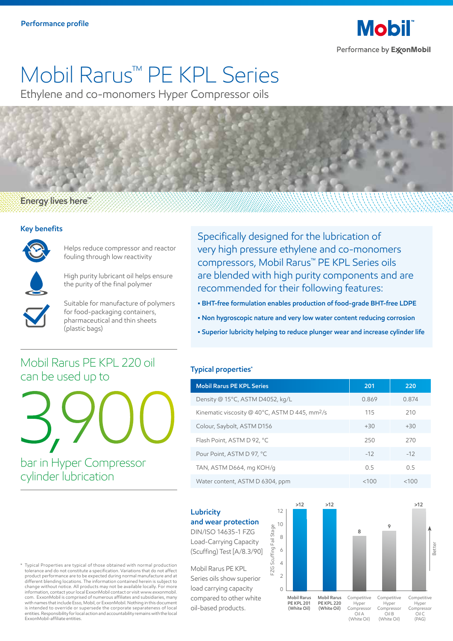

# Mobil Rarus™ PE KPL Series

Ethylene and co-monomers Hyper Compressor oils

### Energy lives here<sup>"</sup>

#### **Key benefits**



Helps reduce compressor and reactor fouling through low reactivity



High purity lubricant oil helps ensure the purity of the final polymer



Suitable for manufacture of polymers for food-packaging containers, pharmaceutical and thin sheets (plastic bags)

Mobil Rarus PE KPL 220 oil

3,900

can be used up to

Specifically designed for the lubrication of very high pressure ethylene and co-monomers compressors, Mobil Rarus™ PE KPL Series oils are blended with high purity components and are recommended for their following features:

- **BHT-free formulation enables production of food-grade BHT-free LDPE**
- **Non hygroscopic nature and very low water content reducing corrosion**
- **Superior lubricity helping to reduce plunger wear and increase cylinder life**

#### **Typical properties\***

| <b>Mobil Rarus PE KPL Series</b>                           | 201   | 220   |
|------------------------------------------------------------|-------|-------|
| Density @ 15°C, ASTM D4052, kg/L                           | 0.869 | 0.874 |
| Kinematic viscosity @ 40°C, ASTM D 445, mm <sup>2</sup> /s | 115   | 210   |
| Colour, Saybolt, ASTM D156                                 | $+30$ | $+30$ |
| Flash Point, ASTM D 92, °C                                 | 250   | 270   |
| Pour Point, ASTM D 97, °C                                  | $-12$ | $-12$ |
| TAN, ASTM D664, mg KOH/g                                   | 0.5   | 05    |
| Water content, ASTM D 6304, ppm                            | <100  | <100  |

### **Lubricity**

#### **and wear protection**

DIN/ISO 14635-1 FZG Load-Carrying Capacity (Scuffing) Test [A/8.3/90]

Mobil Rarus PE KPL Series oils show superior load carrying capacity compared to other white oil-based products.



\* Typical Properties are typical of those obtained with normal production tolerance and do not constitute a specification. Variations that do not affect product performance are to be expected during normal manufacture and at different blending locations. The information contained herein is subject to change without notice. All products may not be available locally. For more information, contact your local ExxonMobil contact or visit www.exxonmobil. com. ExxonMobil is comprised of numerous affiliates and subsidiaries, many with names that include Esso, Mobil, or ExxonMobil. Nothing in this document is intended to override or supersede the corporate separateness of local entities. Responsibility for local action and accountability remains with the local ExxonMobil-affiliate entities.

bar in Hyper Compressor cylinder lubrication